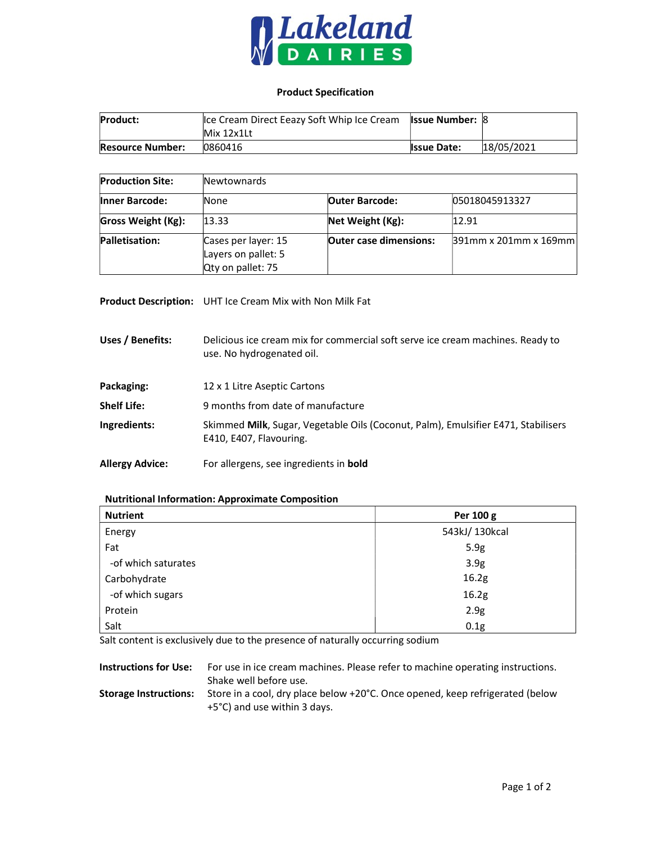

## Product Specification

| <b>Product:</b>         | Ice Cream Direct Eeazy Soft Whip Ice Cream Issue Number: 8 |                    |            |
|-------------------------|------------------------------------------------------------|--------------------|------------|
|                         | Mix 12x1Lt                                                 |                    |            |
| <b>Resource Number:</b> | 0860416                                                    | <b>Issue Date:</b> | 18/05/2021 |

| <b>Production Site:</b>   | Newtownards                                                     |                               |                          |
|---------------------------|-----------------------------------------------------------------|-------------------------------|--------------------------|
| <b>Inner Barcode:</b>     | None                                                            | <b>Outer Barcode:</b>         | 05018045913327           |
| <b>Gross Weight (Kg):</b> | 13.33                                                           | Net Weight (Kg):              | 12.91                    |
| Palletisation:            | Cases per layer: 15<br>Layers on pallet: 5<br>Qty on pallet: 75 | <b>Outer case dimensions:</b> | $391$ mm x 201mm x 169mm |

Product Description: UHT Ice Cream Mix with Non Milk Fat

Uses / Benefits: Delicious ice cream mix for commercial soft serve ice cream machines. Ready to use. No hydrogenated oil. Packaging: 12 x 1 Litre Aseptic Cartons Shelf Life: 9 months from date of manufacture Ingredients: Skimmed Milk, Sugar, Vegetable Oils (Coconut, Palm), Emulsifier E471, Stabilisers E410, E407, Flavouring.

Allergy Advice: For allergens, see ingredients in bold

## Nutritional Information: Approximate Composition

| <b>Nutrient</b>     | Per 100 g        |  |  |
|---------------------|------------------|--|--|
| Energy              | 543kJ/130kcal    |  |  |
| Fat                 | 5.9g             |  |  |
| -of which saturates | 3.9 <sub>g</sub> |  |  |
| Carbohydrate        | 16.2g            |  |  |
| -of which sugars    | 16.2g            |  |  |
| Protein             | 2.9g             |  |  |
| Salt                | 0.1g             |  |  |

Salt content is exclusively due to the presence of naturally occurring sodium

Instructions for Use: For use in ice cream machines. Please refer to machine operating instructions. Shake well before use. Storage Instructions: Store in a cool, dry place below +20°C. Once opened, keep refrigerated (below